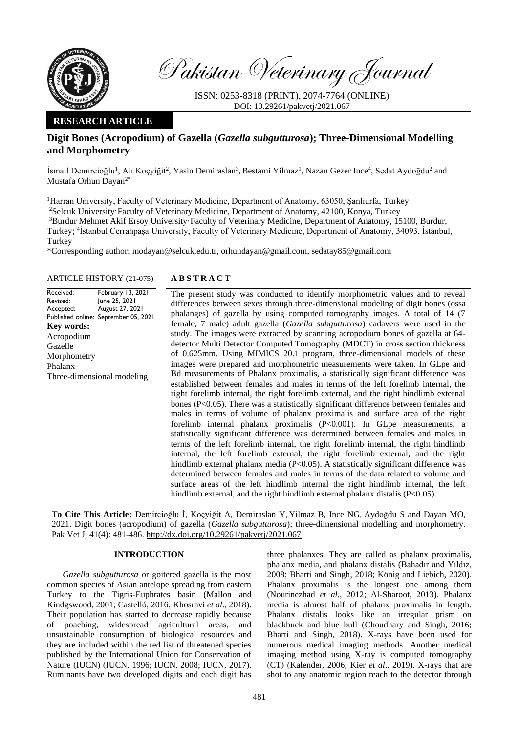

Pakistan Veterinary Journal

ISSN: 0253-8318 (PRINT), 2074-7764 (ONLINE) DOI: 10.29261/pakvetj/2021.067

# **RESEARCH ARTICLE**

# **Digit Bones (Acropodium) of Gazella (***Gazella subgutturosa***); Three-Dimensional Modelling and Morphometry**

İsmail Demircioğlu<sup>1</sup>, Ali Koçyiğit<sup>2</sup>, Yasin Demiraslan<sup>3</sup>, Bestami Yilmaz<sup>1</sup>, Nazan Gezer Ince<sup>4</sup>, Sedat Aydoğdu<sup>2</sup> and Mustafa Orhun Dayan2\*

<sup>1</sup>Harran University, Faculty of Veterinary Medicine, Department of Anatomy, 63050, Şanlıurfa, Turkey <sup>2</sup>Selcuk University, Faculty of Veterinary Medicine, Department of Anatomy, 42100, Konya, Turkey <sup>3</sup>Burdur Mehmet Akif Ersoy University, Faculty of Veterinary Medicine, Department of Anatomy, 15100, Burdur, Turkey; <sup>4</sup> İstanbul Cerrahpaşa University, Faculty of Veterinary Medicine, Department of Anatomy, 34093, İstanbul, Turkey

\*Corresponding author: modayan@selcuk.edu.tr, orhundayan@gmail.com, sedatay85@gmail.com

# ARTICLE HISTORY (21-075) **A B S T R A C T**

Received: Revised: Accepted: Published online: September 05, 2021 February 13, 2021 June 25, 2021 August 27, 2021 **Key words:**  Acropodium Gazelle Morphometry Phalanx Three-dimensional modeling

The present study was conducted to identify morphometric values and to reveal differences between sexes through three-dimensional modeling of digit bones (ossa phalanges) of gazella by using computed tomography images. A total of 14 (7 female, 7 male) adult gazella (*Gazella subgutturosa*) cadavers were used in the study. The images were extracted by scanning acropodium bones of gazella at 64 detector Multi Detector Computed Tomography (MDCT) in cross section thickness of 0.625mm. Using MIMICS 20.1 program, three-dimensional models of these images were prepared and morphometric measurements were taken. In GLpe and Bd measurements of Phalanx proximalis, a statistically significant difference was established between females and males in terms of the left forelimb internal, the right forelimb internal, the right forelimb external, and the right hindlimb external bones (P<0.05). There was a statistically significant difference between females and males in terms of volume of phalanx proximalis and surface area of the right forelimb internal phalanx proximalis (P<0.001). In GLpe measurements, a statistically significant difference was determined between females and males in terms of the left forelimb internal, the right forelimb internal, the right hindlimb internal, the left forelimb external, the right forelimb external, and the right hindlimb external phalanx media ( $P<0.05$ ). A statistically significant difference was determined between females and males in terms of the data related to volume and surface areas of the left hindlimb internal the right hindlimb internal, the left hindlimb external, and the right hindlimb external phalanx distalis (P<0.05).

**To Cite This Article:** Demircioğlu İ, Koçyiğit A, Demiraslan Y, Yilmaz B, Ince NG, Aydoğdu S and Dayan MO, 2021. Digit bones (acropodium) of gazella (*Gazella subgutturosa*); three-dimensional modelling and morphometry. Pak Vet J, 41(4): 481-486. [http://dx.doi.org/10.29261/pakvetj/2021.067](http://pvj.com.pk/pdf-files/41_4/481-486.pdf)

### **INTRODUCTION**

*Gazella subgutturosa* or goitered gazella is the most common species of Asian antelope spreading from eastern Turkey to the Tigris-Euphrates basin (Mallon and Kindgswood, 2001; Castelló, 2016; Khosravi *et al*., 2018). Their population has started to decrease rapidly because of poaching, widespread agricultural areas, and unsustainable consumption of biological resources and they are included within the red list of threatened species published by the International Union for Conservation of Nature (IUCN) (IUCN, 1996; IUCN, 2008; IUCN, 2017). Ruminants have two developed digits and each digit has

three phalanxes. They are called as phalanx proximalis, phalanx media, and phalanx distalis (Bahadır and Yıldız, 2008; Bharti and Singh, 2018; König and Liebich, 2020). Phalanx proximalis is the longest one among them (Nourinezhad *et al*., 2012; Al-Sharoot, 2013). Phalanx media is almost half of phalanx proximalis in length. Phalanx distalis looks like an irregular prism on blackbuck and blue bull (Choudhary and Singh, 2016; Bharti and Singh, 2018). X-rays have been used for numerous medical imaging methods. Another medical imaging method using X-ray is computed tomography (CT) (Kalender, 2006; Kier *et al*., 2019). X-rays that are shot to any anatomic region reach to the detector through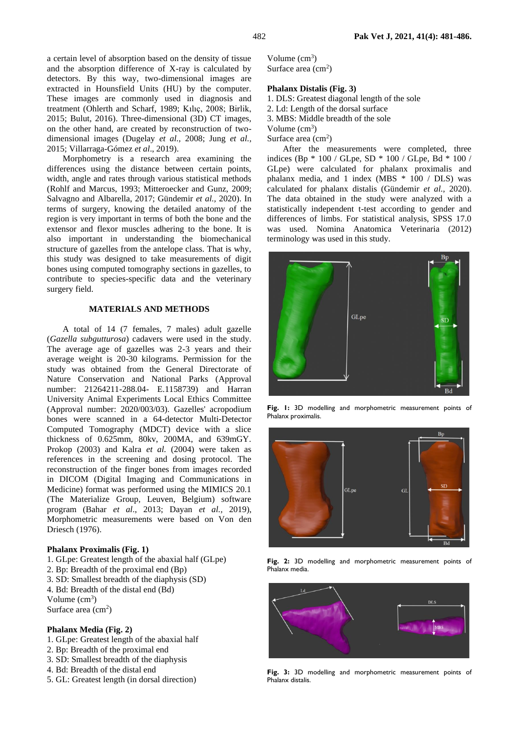a certain level of absorption based on the density of tissue and the absorption difference of X-ray is calculated by detectors. By this way, two-dimensional images are extracted in Hounsfield Units (HU) by the computer. These images are commonly used in diagnosis and treatment (Ohlerth and Scharf, 1989; Kılıç, 2008; Birlik, 2015; Bulut, 2016). Three-dimensional (3D) CT images, on the other hand, are created by reconstruction of twodimensional images (Dugelay *et al.,* 2008; Jung *et al.,*  2015; Villarraga-Gómez *et al*., 2019).

Morphometry is a research area examining the differences using the distance between certain points, width, angle and rates through various statistical methods (Rohlf and Marcus, 1993; Mitteroecker and Gunz, 2009; Salvagno and Albarella, 2017; Gündemir *et al.,* 2020). In terms of surgery, knowing the detailed anatomy of the region is very important in terms of both the bone and the extensor and flexor muscles adhering to the bone. It is also important in understanding the biomechanical structure of gazelles from the antelope class. That is why, this study was designed to take measurements of digit bones using computed tomography sections in gazelles, to contribute to species-specific data and the veterinary surgery field.

## **MATERIALS AND METHODS**

A total of 14 (7 females, 7 males) adult gazelle (*Gazella subgutturosa*) cadavers were used in the study. The average age of gazelles was 2-3 years and their average weight is 20-30 kilograms. Permission for the study was obtained from the General Directorate of Nature Conservation and National Parks (Approval number: 21264211-288.04- E.1158739) and Harran University Animal Experiments Local Ethics Committee (Approval number: 2020/003/03). Gazelles' acropodium bones were scanned in a 64-detector Multi-Detector Computed Tomography (MDCT) device with a slice thickness of 0.625mm, 80kv, 200MA, and 639mGY. Prokop (2003) and Kalra *et al.* (2004) were taken as references in the screening and dosing protocol. The reconstruction of the finger bones from images recorded in DICOM (Digital Imaging and Communications in Medicine) format was performed using the MIMICS 20.1 (The Materialize Group, Leuven, Belgium) software program (Bahar *et al*., 2013; Dayan *et al.,* 2019), Morphometric measurements were based on Von den Driesch (1976).

#### **Phalanx Proximalis (Fig. 1)**

- 1. GLpe: Greatest length of the abaxial half (GLpe)
- 2. Bp: Breadth of the proximal end (Bp)
- 3. SD: Smallest breadth of the diaphysis (SD)
- 4. Bd: Breadth of the distal end (Bd)

Volume  $(cm<sup>3</sup>)$ 

Surface area  $\text{cm}^2$ )

#### **Phalanx Media (Fig. 2)**

- 1. GLpe: Greatest length of the abaxial half
- 2. Bp: Breadth of the proximal end
- 3. SD: Smallest breadth of the diaphysis
- 4. Bd: Breadth of the distal end
- 5. GL: Greatest length (in dorsal direction)

Volume  $\text{cm}^3$ ) Surface area  $\text{ (cm}^2\text{)}$ 

# **Phalanx Distalis (Fig. 3)**

- 1. DLS: Greatest diagonal length of the sole
- 2. Ld: Length of the dorsal surface
- 3. MBS: Middle breadth of the sole

Volume  $(cm<sup>3</sup>)$ 

Surface area  $\text{ (cm}^2\text{)}$ 

After the measurements were completed, three indices (Bp \* 100 / GLpe, SD \* 100 / GLpe, Bd \* 100 / GLpe) were calculated for phalanx proximalis and phalanx media, and 1 index (MBS  $*$  100 / DLS) was calculated for phalanx distalis (Gündemir *et al.,* 2020). The data obtained in the study were analyzed with a statistically independent t-test according to gender and differences of limbs. For statistical analysis, SPSS 17.0 was used. Nomina Anatomica Veterinaria (2012) terminology was used in this study.



**Fig. 1:** 3D modelling and morphometric measurement points of Phalanx proximalis.



**Fig. 2:** 3D modelling and morphometric measurement points of Phalanx media.



**Fig. 3:** 3D modelling and morphometric measurement points of Phalanx distalis.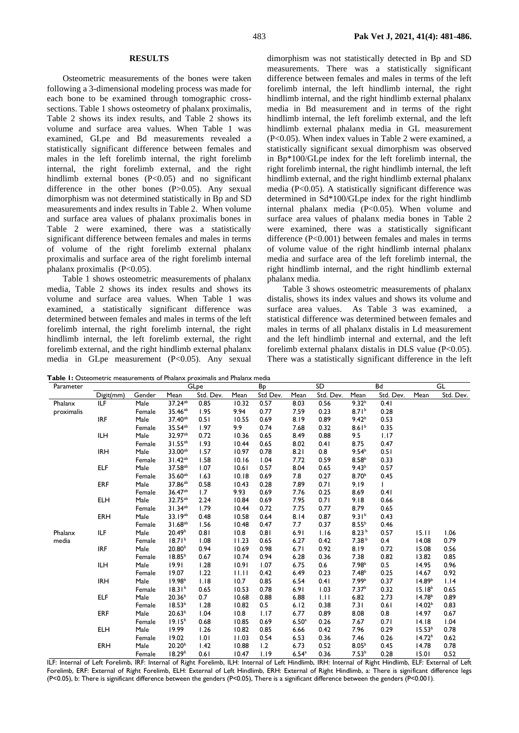#### **RESULTS**

Osteometric measurements of the bones were taken following a 3-dimensional modeling process was made for each bone to be examined through tomographic crosssections. Table 1 shows osteometry of phalanx proximalis, Table 2 shows its index results, and Table 2 shows its volume and surface area values. When Table 1 was examined, GLpe and Bd measurements revealed a statistically significant difference between females and males in the left forelimb internal, the right forelimb internal, the right forelimb external, and the right hindlimb external bones  $(P<0.05)$  and no significant difference in the other bones (P>0.05). Any sexual dimorphism was not determined statistically in Bp and SD measurements and index results in Table 2. When volume and surface area values of phalanx proximalis bones in Table 2 were examined, there was a statistically significant difference between females and males in terms of volume of the right forelimb external phalanx proximalis and surface area of the right forelimb internal phalanx proximalis  $(P<0.05)$ .

Table 1 shows osteometric measurements of phalanx media, Table 2 shows its index results and shows its volume and surface area values. When Table 1 was examined, a statistically significant difference was determined between females and males in terms of the left forelimb internal, the right forelimb internal, the right hindlimb internal, the left forelimb external, the right forelimb external, and the right hindlimb external phalanx media in GLpe measurement (P<0.05). Any sexual

dimorphism was not statistically detected in Bp and SD measurements. There was a statistically significant difference between females and males in terms of the left forelimb internal, the left hindlimb internal, the right hindlimb internal, and the right hindlimb external phalanx media in Bd measurement and in terms of the right hindlimb internal, the left forelimb external, and the left hindlimb external phalanx media in GL measurement (P<0.05). When index values in Table 2 were examined, a statistically significant sexual dimorphism was observed in Bp\*100/GLpe index for the left forelimb internal, the right forelimb internal, the right hindlimb internal, the left hindlimb external, and the right hindlimb external phalanx media (P<0.05). A statistically significant difference was determined in Sd\*100/GLpe index for the right hindlimb internal phalanx media (P<0.05). When volume and surface area values of phalanx media bones in Table 2 were examined, there was a statistically significant difference (P<0.001) between females and males in terms of volume value of the right hindlimb internal phalanx media and surface area of the left forelimb internal, the right hindlimb internal, and the right hindlimb external phalanx media.

Table 3 shows osteometric measurements of phalanx distalis, shows its index values and shows its volume and surface area values. As Table 3 was examined, a statistical difference was determined between females and males in terms of all phalanx distalis in Ld measurement and the left hindlimb internal and external, and the left forelimb external phalanx distalis in DLS value (P<0.05). There was a statistically significant difference in the left

Parameter GLpe Bp SD Bd GL Digit(mm) Gender Mean Std. Dev. Mean Std Dev. Mean Std. Dev. Mean Std. Dev. Mean Std. Dev. Phalanx proximalis ILF Male Female 37.24<sup>ab</sup> 35.46<sup>ab</sup> 0.85 1.95 10.32 9.94 0.57 0.77 8.03 7.59 0.56 0.23  $9.32<sup>b</sup>$  $8.71<sup>b</sup>$ 0.41 0.28 IRF Male Female 37.40ab 35.54ab 0.51 1.97 10.55 9.9 0.69 0.74 8.19 7.68 0.89 0.32 9.42<sup>b</sup>  $8.61<sup>b</sup>$ 0.53 0.35 ILH Male Female 32.97ab 31.55<sup>ab</sup> 0.72 1.93 10.36 10.44 0.65 0.65 8.49 8.02 0.88 0.41 9.5 8.75 1.17 0.47 IRH Male Female 33.00ab 31.42ab 1.57 1.58 10.97 10.16 0.78 1.04 8.21 7.72 0.8 0.59  $9.54<sup>b</sup>$  $8.58<sup>b</sup>$ 0.51 0.33 ELF Male Female  $37.58$ <sup>ab</sup> 35.60ab 1.07 1.63 10.61 10.18 0.57 0.69 8.04 7.8 0.65 0.27  $9.43<sup>t</sup>$ 8.70<sup>b</sup> 0.57 0.45 ERF Male Female 37.86<sup>ab</sup> 36.47<sup>ab</sup> 0.58 1.7 10.43 9.93 0.28 0.69 7.89 7.76 0.71 0.25 9.19 8.69 1 0.41 ELH Male Female 32.75ab 31.34ab 2.24 1.79 10.84 10.44 0.69 0.72 7.95 7.75 0.71 0.77 9.18 8.79 0.66 0.65 ERH Male Female 33.19ab 31.68ab 0.48 1.56 10.58 10.48 0.64 0.47 8.14 7.7 0.87 0.37 9.31<sup>b</sup>  $8.55<sup>b</sup>$ 0.43 0.46 Phalanx media ILF Male Female 20.49<sup>b</sup>  $18.71<sup>b</sup>$ 0.81 1.08 10.8 11.23 0.81 0.65 6.91 6.27 1.16 0.42 8.23 <sup>b</sup> 7.38 <sup>b</sup> 0.57 0.4 15.11 14.08 1.06 0.79 IRF Male Female  $20.80<sup>b</sup>$  $18.85<sup>b</sup>$ 0.94 0.67 10.69 10.74 0.98 0.94 6.71 6.28 0.92 0.36 8.19 7.38 0.72 0.82 15.08 13.82 0.56 0.85 ILH Male Female 19.91 19.07 1.28 1.22 10.91 11.11 1.07 0.42 6.75 6.49 0.6 0.23  $7.98<sup>t</sup>$  $7.48<sup>b</sup>$ 0.5 0.25 14.95 14.67 0.96 0.92 IRH Male Female 19.98<sup>b</sup> 18.31<sup>b</sup> 1.18 0.65 10.7 10.53 0.85 0.78 6.54 6.91 0.41 1.03 7.99<sup>b</sup> 7.37<sup>b</sup> 0.37 0.32  $14.89$  $15.18<sup>b</sup>$ 1.14 0.65 ELF Male Female 20.36<sup>b</sup>  $18.53<sup>b</sup>$ 0.7 1.28 10.68 10.82 0.88 0.5 6.88 6.12 1.11 0.38 6.82 7.31 2.73 0.61  $14.78^{\circ}$  $14.02<sup>b</sup>$ 0.89 0.83 ERF Male Female  $20.63<sup>b</sup>$  $19.15<sup>t</sup>$ 1.04 0.68 10.8 10.85 1.17 0.69 6.77  $6.50$ 0.89 0.26 8.08 7.67 0.8 0.71 14.97 14.18 0.67 1.04 ELH Male Female 19.99 19.02 1.26 1.01 10.82 11.03 0.85 0.54 6.66 6.53 0.42 0.36 7.96 7.46 0.29 0.26  $15.53$ <sup>b</sup>  $14.72<sup>b</sup>$ 0.78 0.62 ERH Male Female 20.20<sup>b</sup> 18.29<sup>b</sup> 1.42 0.61 10.88 10.47 1.2 1.19 6.73 6.54<sup>a</sup> 0.52 0.36  $8.05<sup>b</sup>$  $7.53<sup>b</sup>$ 0.45 0.28 14.78 15.01 0.78 0.52 ILF: Internal of Left Forelimb, IRF: Internal of Right Forelimb, ILH: Internal of Left Hindlimb, IRH: Internal of Right Hindlimb, ELF: External of Left

Forelimb, ERF: External of Right Forelimb, ELH: External of Left Hindlimb, ERH: External of Right Hindlimb, a: There is significant difference legs (P<0.05), b: There is significant difference between the genders (P<0.05), There is a significant difference between the genders (P<0.001).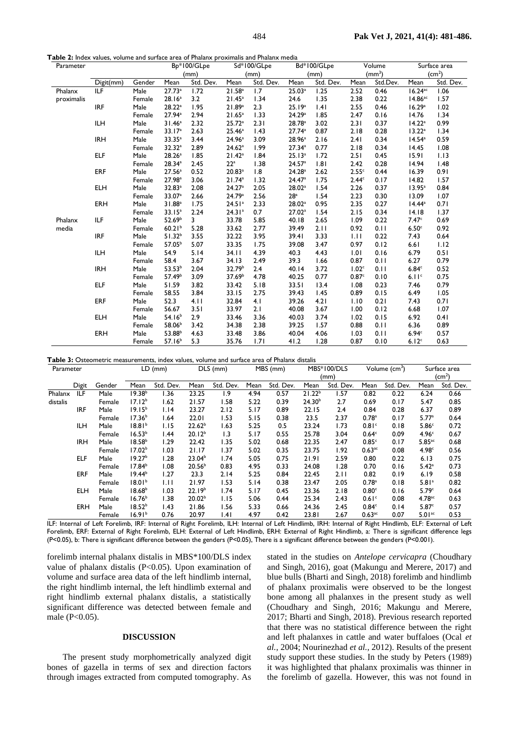**Table 2:** Index values, volume and surface area of Phalanx proximalis and Phalanx media

| Parameter  |            |        |                    | $\overline{Bp*}100/GLpe$ |                      | Sd*100/GLpe | Bd*100/GLpe        |           | Volume            |          | Surface area          |           |
|------------|------------|--------|--------------------|--------------------------|----------------------|-------------|--------------------|-----------|-------------------|----------|-----------------------|-----------|
|            |            |        |                    | (mm)                     | (mm)                 |             | (mm)               |           | $\text{(mm)}^3$   |          | (cm <sup>2</sup> )    |           |
|            | Digit(mm)  | Gender | Mean               | Std. Dev.                | Mean                 | Std. Dev.   | Mean               | Std. Dev. | Mean              | Std.Dev. | Mean                  | Std. Dev. |
| Phalanx    | ILF        | Male   | 27.73a             | 1.72                     | 21.58 <sup>a</sup>   | 1.7         | 25.03a             | 1.25      | 2.52              | 0.46     | $16.24$ <sup>ac</sup> | 1.06      |
| proximalis |            | Female | 28.16 <sup>a</sup> | 3.2                      | 21.45 <sup>a</sup>   | 1.34        | 24.6               | 1.35      | 2.38              | 0.22     | $14.86$ <sup>ac</sup> | 1.57      |
|            | <b>IRF</b> | Male   | 28.22a             | 1.95                     | 21.89a               | 2.3         | 25.19a             | .4        | 2.55              | 0.46     | 16.29a                | 1.02      |
|            |            | Female | 27.94a             | 2.94                     | 21.65 <sup>a</sup>   | 1.33        | 24.29a             | 1.85      | 2.47              | 0.16     | 14.76                 | 1.34      |
|            | <b>ILH</b> | Male   | 31.46 <sup>a</sup> | 2.32                     | 25.72 <sup>a</sup>   | 2.31        | 28.78 <sup>a</sup> | 3.02      | 2.31              | 0.37     | 14.22 <sup>a</sup>    | 0.99      |
|            |            | Female | 33.17 <sup>a</sup> | 2.63                     | 25.46 <sup>a</sup>   | 1.43        | 27.74 <sup>a</sup> | 0.87      | 2.18              | 0.28     | 13.22 <sup>a</sup>    | 1.34      |
|            | <b>IRH</b> | Male   | 33.35 <sup>a</sup> | 3.44                     | 24.96 <sup>a</sup>   | 3.09        | 28.96 <sup>a</sup> | 2.16      | 2.41              | 0.34     | $14.54^a$             | 0.59      |
|            |            | Female | 32.32 <sup>a</sup> | 2.89                     | 24.62a               | 1.99        | 27.34a             | 0.77      | 2.18              | 0.34     | 14.45                 | 1.08      |
|            | <b>ELF</b> | Male   | 28.26 <sup>a</sup> | 1.85                     | 21.42 <sup>a</sup>   | 1.84        | 25.13 <sup>a</sup> | 1.72      | 2.51              | 0.45     | 15.91                 | 1.13      |
|            |            | Female | 28.34a             | 2.45                     | $22^a$               | 1.38        | 24.57 <sup>a</sup> | 1.81      | 2.42              | 0.28     | 14.94                 | 1.48      |
|            | <b>ERF</b> | Male   | 27.56 <sup>a</sup> | 0.52                     | $20.83$ <sup>a</sup> | 1.8         | 24.28 <sup>a</sup> | 2.62      | 2.55c             | 0.44     | 16.39                 | 0.91      |
|            |            | Female | 27.98 <sup>a</sup> | 3.06                     | 21.74a               | 1.32        | 24.47a             | 1.75      | 2.44 <sup>c</sup> | 0.17     | 14.82                 | 1.57      |
|            | <b>ELH</b> | Male   | 32.83a             | 2.08                     | 24.27a               | 2.05        | 28.02 <sup>a</sup> | 1.54      | 2.26              | 0.37     | $13.95^a$             | 0.84      |
|            |            | Female | 33.07 <sup>a</sup> | 2.66                     | 24.79a               | 2.56        | 28 <sup>a</sup>    | 1.54      | 2.23              | 0.30     | 13.09                 | 1.07      |
|            | ERH        | Male   | 31.88 <sup>a</sup> | 1.75                     | 24.51 <sup>a</sup>   | 2.33        | 28.02 <sup>a</sup> | 0.95      | 2.35              | 0.27     | $14.44^a$             | 0.71      |
|            |            | Female | 33.15 <sup>a</sup> | 2.24                     | 24.31 <sup>a</sup>   | 0.7         | 27.02 <sup>a</sup> | 1.54      | 2.15              | 0.34     | 14.18                 | 1.37      |
| Phalanx    | ILF        | Male   | 52.69 <sup>b</sup> | 3                        | 33.78                | 5.85        | 40.18              | 2.65      | 1.09              | 0.22     | 7.47 <sup>c</sup>     | 0.69      |
| media      |            | Female | 60.21 <sup>b</sup> | 5.28                     | 33.62                | 2.77        | 39.49              | 2.11      | 0.92              | 0.11     | 6.50 <sup>c</sup>     | 0.92      |
|            | <b>IRF</b> | Male   | $51.32^{b}$        | 3.55                     | 32.22                | 3.95        | 39.41              | 3.33      | 1.11              | 0.22     | 7.43                  | 0.64      |
|            |            | Female | 57.05 <sup>b</sup> | 5.07                     | 33.35                | 1.75        | 39.08              | 3.47      | 0.97              | 0.12     | 6.61                  | 1.12      |
|            | <b>ILH</b> | Male   | 54.9               | 5.14                     | 34.11                | 4.39        | 40.3               | 4.43      | 1.01              | 0.16     | 6.79                  | 0.51      |
|            |            | Female | 58.4               | 3.67                     | 34.13                | 2.49        | 39.3               | 1.66      | 0.87              | 0.11     | 6.27                  | 0.79      |
|            | <b>IRH</b> | Male   | 53.53 <sup>b</sup> | 2.04                     | 32.79 <sup>b</sup>   | 2.4         | 40.14              | 3.72      | 1.02 <sup>c</sup> | 0.11     | 6.84c                 | 0.52      |
|            |            | Female | 57.49 <sup>b</sup> | 3.09                     | 37.69 <sup>b</sup>   | 4.78        | 40.25              | 0.77      | 0.87 <sup>c</sup> | 0.10     | 6.11c                 | 0.75      |
|            | <b>ELF</b> | Male   | 51.59              | 3.82                     | 33.42                | 5.18        | 33.51              | 13.4      | 1.08              | 0.23     | 7.46                  | 0.79      |
|            |            | Female | 58.55              | 3.84                     | 33.15                | 2.75        | 39.43              | 1.45      | 0.89              | 0.15     | 6.49                  | 1.05      |
|            | <b>ERF</b> | Male   | 52.3               | 4.11                     | 32.84                | 4.1         | 39.26              | 4.21      | 1.10              | 0.21     | 7.43                  | 0.71      |
|            |            | Female | 56.67              | 3.51                     | 33.97                | 2.1         | 40.08              | 3.67      | 1.00              | 0.12     | 6.68                  | 1.07      |
|            | <b>ELH</b> | Male   | 54.16 <sup>b</sup> | 2.9                      | 33.46                | 3.36        | 40.03              | 3.74      | 1.02              | 0.15     | 6.92                  | 0.41      |
|            |            | Female | 58.06 <sup>b</sup> | 3.42                     | 34.38                | 2.38        | 39.25              | 1.57      | 0.88              | 0.11     | 6.36                  | 0.89      |
|            | <b>ERH</b> | Male   | 53.88 <sup>b</sup> | 4.63                     | 33.48                | 3.86        | 40.04              | 4.06      | 1.03              | 0.11     | 6.94c                 | 0.57      |
|            |            | Female | 57.16 <sup>b</sup> | 5.3                      | 35.76                | 1.71        | 41.2               | 1.28      | 0.87              | 0.10     | 6.12 <sup>c</sup>     | 0.63      |

**Table 3:** Osteometric measurements, index values, volume and surface area of Phalanx distalis

| Parameter |            | $LD$ (mm) |                    | $\overline{D}$ LS (mm) |                    | MBS (mm)  |      | MBS*100/DLS |                    | Volume $\overline{(cm^3)}$ |                      | Surface area |                      |           |
|-----------|------------|-----------|--------------------|------------------------|--------------------|-----------|------|-------------|--------------------|----------------------------|----------------------|--------------|----------------------|-----------|
|           |            |           |                    |                        |                    |           |      |             | (mm)               |                            |                      |              | (cm <sup>2</sup> )   |           |
|           | Digit      | Gender    | Mean               | Std. Dev.              | Mean               | Std. Dev. | Mean | Std. Dev.   | Mean               | Std. Dev.                  | Mean                 | Std. Dev.    | Mean                 | Std. Dev. |
| Phalanx   | ILF        | Male      | 19.38 <sup>b</sup> | 1.36                   | 23.25              | 1.9       | 4.94 | 0.57        | 21.22 <sup>b</sup> | 1.57                       | 0.82                 | 0.22         | 6.24                 | 0.66      |
| distalis  |            | Female    | 17.12 <sup>b</sup> | 1.62                   | 21.57              | 1.58      | 5.22 | 0.39        | 24.30 <sup>b</sup> | 2.7                        | 0.69                 | 0.17         | 5.47                 | 0.85      |
|           | <b>IRF</b> | Male      | $19.15^{b}$        | 1.14                   | 23.27              | 2.12      | 5.17 | 0.89        | 22.15              | 2.4                        | 0.84                 | 0.28         | 6.37                 | 0.89      |
|           |            | Female    | 17.36 <sup>b</sup> | 1.64                   | 22.01              | 1.53      | 5.15 | 0.38        | 23.5               | 2.37                       | 0.78 <sup>a</sup>    | 0.17         | 5.77a                | 0.64      |
|           | ILH.       | Male      | 18.81 <sup>b</sup> | 1.15                   | 22.62 <sup>b</sup> | 1.63      | 5.25 | 0.5         | 23.24              | 1.73                       | 0.81 <sup>c</sup>    | 0.18         | 5.86 <sup>c</sup>    | 0.72      |
|           |            | Female    | 16.53 <sup>b</sup> | 1.44                   | $20.12^{b}$        | 1.3       | 5.17 | 0.55        | 25.78              | 3.04                       | 0.64 <sup>c</sup>    | 0.09         | 4.96 <sup>c</sup>    | 0.67      |
|           | <b>IRH</b> | Male      | 18.58 <sup>b</sup> | 1.29                   | 22.42              | 1.35      | 5.02 | 0.68        | 22.35              | 2.47                       | 0.85c                | 0.17         | $5.85$ <sup>ac</sup> | 0.68      |
|           |            | Female    | 17.02 <sup>b</sup> | 1.03                   | 21.17              | 1.37      | 5.02 | 0.35        | 23.75              | 1.92                       | $0.63$ <sub>ac</sub> | 0.08         | 4.98c                | 0.56      |
|           | ELF        | Male      | 19.27 <sup>b</sup> | 1.28                   | 23.04 <sup>b</sup> | 1.74      | 5.05 | 0.75        | 21.91              | 2.59                       | 0.80                 | 0.22         | 6.13                 | 0.75      |
|           |            | Female    | 17.84 <sup>b</sup> | 0.08                   | 20.56 <sup>b</sup> | 0.83      | 4.95 | 0.33        | 24.08              | 1.28                       | 0.70                 | 0.16         | 5.42 <sup>a</sup>    | 0.73      |
|           | <b>ERF</b> | Male      | $19.44^{b}$        | 1.27                   | 23.3               | 2.14      | 5.25 | 0.84        | 22.45              | 2.11                       | 0.82                 | 0.19         | 6.19                 | 0.58      |
|           |            | Female    | 18.01 <sup>b</sup> | Ш                      | 21.97              | 1.53      | 5.14 | 0.38        | 23.47              | 2.05                       | 0.78 <sup>a</sup>    | 0.18         | 5.81 <sup>a</sup>    | 0.82      |
|           | <b>ELH</b> | Male      | 18.68 <sup>b</sup> | 1.03                   | 22.19 <sup>b</sup> | 1.74      | 5.17 | 0.45        | 23.36              | 2.18                       | 0.80 <sup>c</sup>    | 0.16         | 5.79 <sup>c</sup>    | 0.64      |
|           |            | Female    | 16.76 <sup>b</sup> | 1.38                   | 20.02 <sup>b</sup> | 1.15      | 5.06 | 0.44        | 25.34              | 2.43                       | 0.61 <sup>c</sup>    | 0.08         | $4.78$ <sup>ac</sup> | 0.63      |
|           | ERH        | Male      | 18.52 <sup>b</sup> | 1.43                   | 21.86              | 1.56      | 5.33 | 0.66        | 24.36              | 2.45                       | 0.84 <sup>c</sup>    | 0.14         | 5.87c                | 0.57      |
|           |            | Female    | 16.91 <sup>b</sup> | 0.76                   | 20.97              | .4        | 4.97 | 0.42        | 23.81              | 2.67                       | $0.63$ <sup>ac</sup> | 0.07         | $5.01$ <sup>ac</sup> | 0.53      |

ILF: Internal of Left Forelimb, IRF: Internal of Right Forelimb, ILH: Internal of Left Hindlimb, IRH: Internal of Right Hindlimb, ELF: External of Left Forelimb, ERF: External of Right Forelimb, ELH: External of Left Hindlimb, ERH: External of Right Hindlimb, a: There is significant difference legs (P<0.05), b: There is significant difference between the genders (P<0.05), There is a significant difference between the genders (P<0.001).

forelimb internal phalanx distalis in MBS\*100/DLS index value of phalanx distalis (P<0.05). Upon examination of volume and surface area data of the left hindlimb internal, the right hindlimb internal, the left hindlimb external and right hindlimb external phalanx distalis, a statistically significant difference was detected between female and male (P<0.05).

#### **DISCUSSION**

The present study morphometrically analyzed digit bones of gazella in terms of sex and direction factors through images extracted from computed tomography. As

stated in the studies on *Antelope cervicapra* (Choudhary and Singh, 2016), goat (Makungu and Merere, 2017) and blue bulls (Bharti and Singh, 2018) forelimb and hindlimb of phalanx proximalis were observed to be the longest bone among all phalanxes in the present study as well (Choudhary and Singh, 2016; Makungu and Merere, 2017; Bharti and Singh, 2018). Previous research reported that there was no statistical difference between the right and left phalanxes in cattle and water buffaloes (Ocal *et al.,* 2004; Nourinezhad *et al.*, 2012). Results of the present study support these studies. In the study by Peters (1989) it was highlighted that phalanx proximalis was thinner in the forelimb of gazella. However, this was not found in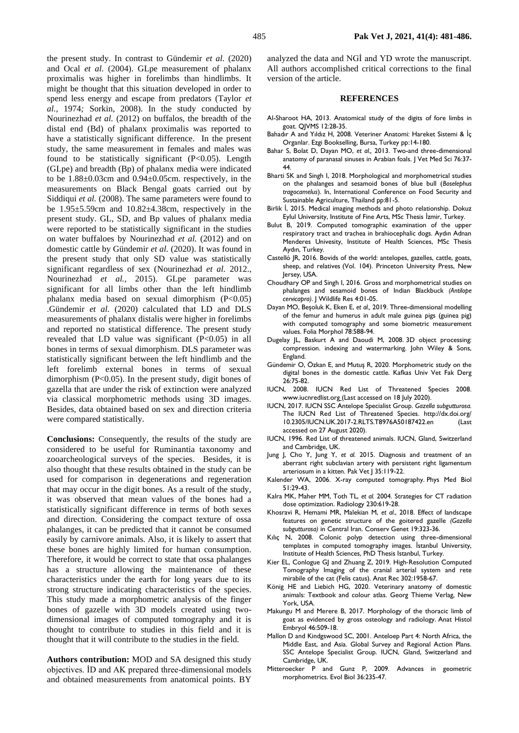the present study. In contrast to Gündemir *et al.* (2020) and Ocal *et al.* (2004). GLpe measurement of phalanx proximalis was higher in forelimbs than hindlimbs. It might be thought that this situation developed in order to spend less energy and escape from predators (Taylor *et al.,* 1974*;* Sorkin, 2008). In the study conducted by Nourinezhad *et al.* (2012) on buffalos, the breadth of the distal end (Bd) of phalanx proximalis was reported to have a statistically significant difference. In the present study, the same measurement in females and males was found to be statistically significant  $(P<0.05)$ . Length (GLpe) and breadth (Bp) of phalanx media were indicated to be 1.88±0.03cm and 0.94±0.05cm. respectively, in the measurements on Black Bengal goats carried out by Siddiqui *et al.* (2008). The same parameters were found to be 1.95±5.59cm and 10.82±4.38cm, respectively in the present study. GL, SD, and Bp values of phalanx media were reported to be statistically significant in the studies on water buffaloes by Nourinezhad *et al.* (2012) and on domestic cattle by Gündemir *et al.* (2020). It was found in the present study that only SD value was statistically significant regardless of sex (Nourinezhad *et al.* 2012., Nourinezhad *et al.,* 2015). GLpe parameter was significant for all limbs other than the left hindlimb phalanx media based on sexual dimorphism (P<0.05) .Gündemir *et al.* (2020) calculated that LD and DLS measurements of phalanx distalis were higher in forelimbs and reported no statistical difference. The present study revealed that LD value was significant  $(P<0.05)$  in all bones in terms of sexual dimorphism. DLS parameter was statistically significant between the left hindlimb and the left forelimb external bones in terms of sexual dimorphism  $(P<0.05)$ . In the present study, digit bones of gazella that are under the risk of extinction were analyzed via classical morphometric methods using 3D images. Besides, data obtained based on sex and direction criteria were compared statistically.

**Conclusions:** Consequently, the results of the study are considered to be useful for Ruminantia taxonomy and zooarcheological surveys of the species. Besides, it is also thought that these results obtained in the study can be used for comparison in degenerations and regeneration that may occur in the digit bones. As a result of the study, it was observed that mean values of the bones had a statistically significant difference in terms of both sexes and direction. Considering the compact texture of ossa phalanges, it can be predicted that it cannot be consumed easily by carnivore animals. Also, it is likely to assert that these bones are highly limited for human consumption. Therefore, it would be correct to state that ossa phalanges has a structure allowing the maintenance of these characteristics under the earth for long years due to its strong structure indicating characteristics of the species. This study made a morphometric analysis of the finger bones of gazelle with 3D models created using twodimensional images of computed tomography and it is thought to contribute to studies in this field and it is thought that it will contribute to the studies in the field.

**Authors contribution:** MOD and SA designed this study objectives. İD and AK prepared three-dimensional models and obtained measurements from anatomical points. BY

analyzed the data and NGİ and YD wrote the manuscript. All authors accomplished critical corrections to the final version of the article.

### **REFERENCES**

- Al-Sharoot HA, 2013. Anatomical study of the digits of fore limbs in goat. QJVMS 12:28-35.
- Bahadır A and Yıldız H, 2008. Veteriner Anatomi: Hareket Sistemi & İç Organlar. Ezgi Bookselling, Bursa, Turkey pp:14-180.
- Bahar S, Bolat D, Dayan MO, *et al.,* 2013. Two-and three-dimensional anatomy of paranasal sinuses in Arabian foals. J Vet Med Sci 76:37-44.
- Bharti SK and Singh I, 2018. Morphological and morphometrical studies on the phalanges and sesamoid bones of blue bull (*Boselephus tragocamelus*). In, International Conference on Food Security and Sustainable Agriculture, Thailand pp:81-5.
- Birlik İ, 2015. Medical imaging methods and photo relationship. Dokuz Eylul University, Institute of Fine Arts, MSc Thesis İzmir, Turkey.
- Bulut B, 2019. Computed tomographic examination of the upper respiratory tract and trachea in brahiocephalic dogs. Aydın Adnan Menderes Univesity, Institute of Health Sciences, MSc Thesis Aydın, Turkey.
- Castelló JR, 2016. Bovids of the world: antelopes, gazelles, cattle, goats, sheep, and relatives (Vol. 104). Princeton University Press, New lersey, USA.
- Choudhary OP and Singh I, 2016. Gross and morphometrical studies on phalanges and sesamoid bones of Indian Blackbuck *(Antilope cervicapra)*. J Wildlife Res 4:01-05.
- Dayan MO, Beşoluk K, Eken E, *et al.,* 2019. Three-dimensional modelling of the femur and humerus in adult male guinea pigs (guinea pig) with computed tomography and some biometric measurement values. Folia Morphol 78:588-94.
- Dugelay JL, Baskurt A and Daoudi M, 2008. 3D object processing: compression. indexing and watermarking. John Wiley & Sons, England.
- Gündemir O, Özkan E, and Mutuş R, 2020. Morphometric study on the digital bones in the domestic cattle. Kafkas Univ Vet Fak Derg 26:75-82.
- IUCN, 2008. IUCN Red List of Threatened Species 2008. www.iucnredlist.org (Last accessed on 18 July 2020).
- IUCN, 2017. IUCN SSC Antelope Specialist Group. *Gazella subgutturosa.* The IUCN Red List of Threatened Species. http://dx.doi.org/ 10.2305/IUCN.UK.2017-2.RLTS.T8976A50187422.en (Last accessed on 27 August 2020).
- IUCN, 1996. Red List of threatened animals. IUCN, Gland, Switzerland and Cambridge, UK.
- Jung J, Cho Y, Jung Y, *et al.* 2015. Diagnosis and treatment of an aberrant right subclavian artery with persistent right ligamentum arteriosum in a kitten. Pak Vet J 35:119-22.
- Kalender WA, 2006. X-ray computed tomography. Phys Med Biol 51:29-43.
- Kalra MK, Maher MM, Toth TL, *et al.* 2004. Strategies for CT radiation dose optimization. Radiology 230:619-28.
- Khosravi R, Hemami MR, Malekian M, *et al.*, 2018. Effect of landscape features on genetic structure of the goitered gazelle *(Gazella subgutturosa)* in Central Iran. Conserv Genet 19:323-36.
- Kılıç N, 2008. Colonic polyp detection using three-dimensional templates in computed tomography images. İstanbul University, Institute of Health Sciences, PhD Thesis Istanbul, Turkey.
- Kier EL, Conlogue GJ and Zhuang Z, 2019. High-Resolution Computed Tomography Imaging of the cranial arterial system and rete mirabile of the cat (Felis catus). Anat Rec 302:1958-67.
- König HE and Liebich HG, 2020. Veterinary anatomy of domestic animals: Textbook and colour atlas. Georg Thieme Verlag, New York, USA.
- Makungu M and Merere B, 2017. Morphology of the thoracic limb of goat as evidenced by gross osteology and radiology. Anat Histol Embryol 46:509-18.
- Mallon D and Kindgswood SC, 2001. Anteloep Part 4: North Africa, the Middle East, and Asia. Global Survey and Regional Action Plans. SSC Antelope Specialist Group. IUCN, Gland, Switzerland and Cambridge, UK.
- Mitteroecker P and Gunz P, 2009. Advances in geometric morphometrics. Evol Biol 36:235-47.